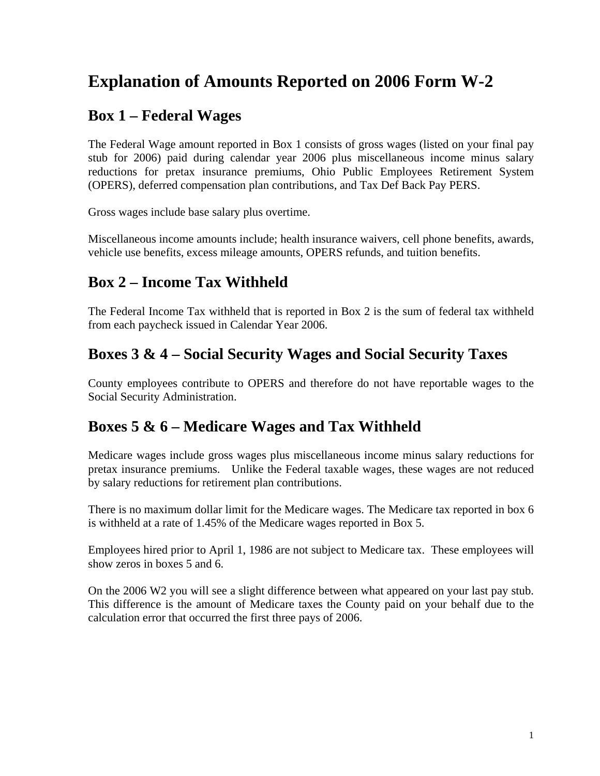# **Explanation of Amounts Reported on 2006 Form W-2**

#### **Box 1 – Federal Wages**

The Federal Wage amount reported in Box 1 consists of gross wages (listed on your final pay stub for 2006) paid during calendar year 2006 plus miscellaneous income minus salary reductions for pretax insurance premiums, Ohio Public Employees Retirement System (OPERS), deferred compensation plan contributions, and Tax Def Back Pay PERS.

Gross wages include base salary plus overtime.

Miscellaneous income amounts include; health insurance waivers, cell phone benefits, awards, vehicle use benefits, excess mileage amounts, OPERS refunds, and tuition benefits.

# **Box 2 – Income Tax Withheld**

The Federal Income Tax withheld that is reported in Box 2 is the sum of federal tax withheld from each paycheck issued in Calendar Year 2006.

# **Boxes 3 & 4 – Social Security Wages and Social Security Taxes**

County employees contribute to OPERS and therefore do not have reportable wages to the Social Security Administration.

### **Boxes 5 & 6 – Medicare Wages and Tax Withheld**

Medicare wages include gross wages plus miscellaneous income minus salary reductions for pretax insurance premiums. Unlike the Federal taxable wages, these wages are not reduced by salary reductions for retirement plan contributions.

There is no maximum dollar limit for the Medicare wages. The Medicare tax reported in box 6 is withheld at a rate of 1.45% of the Medicare wages reported in Box 5.

Employees hired prior to April 1, 1986 are not subject to Medicare tax. These employees will show zeros in boxes 5 and 6.

On the 2006 W2 you will see a slight difference between what appeared on your last pay stub. This difference is the amount of Medicare taxes the County paid on your behalf due to the calculation error that occurred the first three pays of 2006.